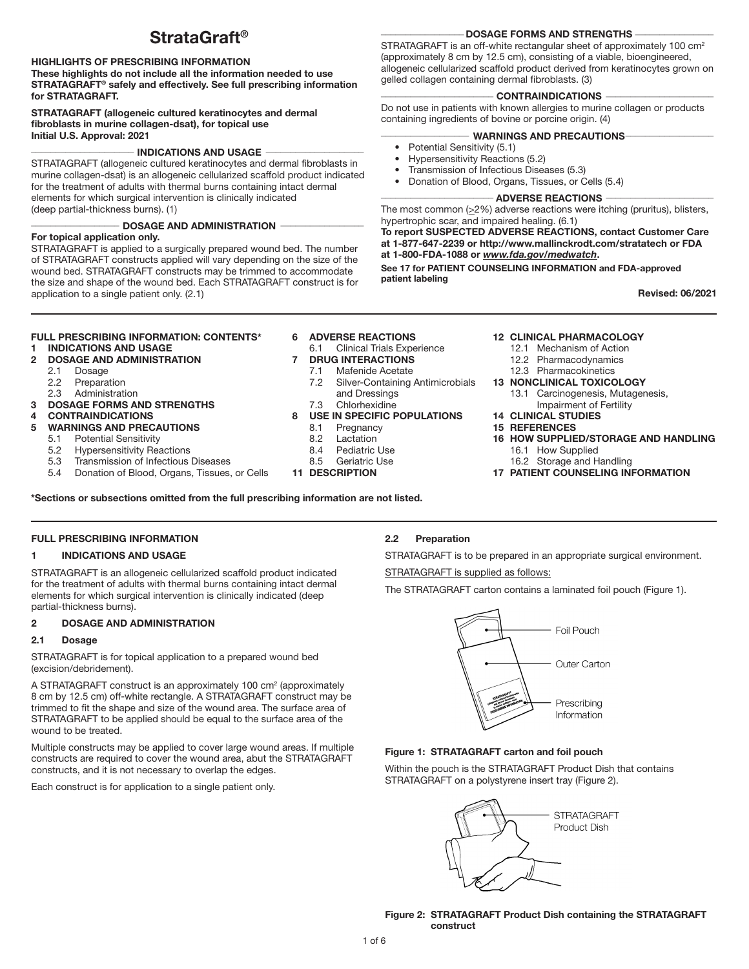# StrataGraft®

# HIGHLIGHTS OF PRESCRIBING INFORMATION

These highlights do not include all the information needed to use STRATAGRAFT® safely and effectively. See full prescribing information for STRATAGRAFT.

#### STRATAGRAFT (allogeneic cultured keratinocytes and dermal fibroblasts in murine collagen-dsat), for topical use Initial U.S. Approval: 2021

#### $\overline{\phantom{a}}$  INDICATIONS AND USAGE  $\overline{\phantom{a}}$

STRATAGRAFT (allogeneic cultured keratinocytes and dermal fibroblasts in murine collagen-dsat) is an allogeneic cellularized scaffold product indicated for the treatment of adults with thermal burns containing intact dermal elements for which surgical intervention is clinically indicated (deep partial-thickness burns). (1)

#### DOSAGE AND ADMINISTRATION

# For topical application only.

STRATAGRAFT is applied to a surgically prepared wound bed. The number of STRATAGRAFT constructs applied will vary depending on the size of the wound bed. STRATAGRAFT constructs may be trimmed to accommodate the size and shape of the wound bed. Each STRATAGRAFT construct is for application to a single patient only. (2.1)

#### DOSAGE FORMS AND STRENGTHS

STRATAGRAFT is an off-white rectangular sheet of approximately 100 cm<sup>2</sup> (approximately 8 cm by 12.5 cm), consisting of a viable, bioengineered, allogeneic cellularized scaffold product derived from keratinocytes grown on gelled collagen containing dermal fibroblasts. (3)

#### \_\_\_\_\_\_\_\_\_\_\_\_\_\_\_\_\_\_\_\_\_\_\_ CONTRAINDICATIONS \_\_\_\_\_\_\_\_\_\_\_\_\_\_\_\_\_\_\_\_\_\_

Do not use in patients with known allergies to murine collagen or products containing ingredients of bovine or porcine origin. (4)

#### WARNINGS AND PRECAUTIONS-

- Potential Sensitivity (5.1)
- Hypersensitivity Reactions (5.2)
- Transmission of Infectious Diseases (5.3)
- Donation of Blood, Organs, Tissues, or Cells (5.4)

# $\overline{\phantom{a}}$  ADVERSE REACTIONS  $\overline{\phantom{a}}$

The most common  $(≥2%)$  adverse reactions were itching (pruritus), blisters, hypertrophic scar, and impaired healing. (6.1)

To report SUSPECTED ADVERSE REACTIONS, contact Customer Care at 1-877-647-2239 or http://www.mallinckrodt.com/stratatech or FDA at 1-800-FDA-1088 or *www.fda.gov/medwatch*.

See 17 for PATIENT COUNSELING INFORMATION and FDA-approved patient labeling

Revised: 06/2021

# FULL PRESCRIBING INFORMATION: CONTENTS\*

- 1 INDICATIONS AND USAGE 2 DOSAGE AND ADMINISTRATION
	- 2.1 Dosage
	-
	- 2.2 Preparation
	- 2.3 Administration
- 3 DOSAGE FORMS AND STRENGTHS
- **CONTRAINDICATIONS**
- 5 WARNINGS AND PRECAUTIONS
	- 5.1 Potential Sensitivity<br>5.2 Hypersensitivity Rea
	- **Hypersensitivity Reactions**
	- 5.3 Transmission of Infectious Diseases
	- 5.4 Donation of Blood, Organs, Tissues, or Cells

# **6 ADVERSE REACTIONS**<br>6.1 Clinical Trials Expe

- **Clinical Trials Experience**
- 7 DRUG INTERACTIONS
	-
	- 7.1 Mafenide Acetate<br>7.2 Silver-Containing Silver-Containing Antimicrobials and Dressings
	- 7.3 Chlorhexidine
- 8 USE IN SPECIFIC POPULATIONS
	- 8.1 Pregnancy
	- 8.2 Lactation<br>8.4 Pediatric
	- Pediatric Use
	- 8.5 Geriatric Use
- 11 DESCRIPTION

\*Sections or subsections omitted from the full prescribing information are not listed.

# FULL PRESCRIBING INFORMATION

#### 1 INDICATIONS AND USAGE

STRATAGRAFT is an allogeneic cellularized scaffold product indicated for the treatment of adults with thermal burns containing intact dermal elements for which surgical intervention is clinically indicated (deep partial-thickness burns).

# 2 DOSAGE AND ADMINISTRATION

#### 2.1 Dosage

STRATAGRAFT is for topical application to a prepared wound bed (excision/debridement).

A STRATAGRAFT construct is an approximately 100 cm<sup>2</sup> (approximately 8 cm by 12.5 cm) off-white rectangle. A STRATAGRAFT construct may be trimmed to fit the shape and size of the wound area. The surface area of STRATAGRAFT to be applied should be equal to the surface area of the wound to be treated.

Multiple constructs may be applied to cover large wound areas. If multiple constructs are required to cover the wound area, abut the STRATAGRAFT constructs, and it is not necessary to overlap the edges.

Each construct is for application to a single patient only.

# 2.2 Preparation

STRATAGRAFT is to be prepared in an appropriate surgical environment.

STRATAGRAFT is supplied as follows:

The STRATAGRAFT carton contains a laminated foil pouch (Figure 1).



# Figure 1: STRATAGRAFT carton and foil pouch

Within the pouch is the STRATAGRAFT Product Dish that contains STRATAGRAFT on a polystyrene insert tray (Figure 2).



Figure 2: STRATAGRAFT Product Dish containing the STRATAGRAFT construct

- 12 CLINICAL PHARMACOLOGY
	- 12.1 Mechanism of Action
	- 12.2 Pharmacodynamics
	- 12.3 Pharmacokinetics
- 13 NONCLINICAL TOXICOLOGY

16.2 Storage and Handling 17 PATIENT COUNSELING INFORMATION

- 13.1 Carcinogenesis, Mutagenesis, Impairment of Fertility
- 14 CLINICAL STUDIES
- 15 REFERENCES
- 16 HOW SUPPLIED/STORAGE AND HANDLING 16.1 How Supplied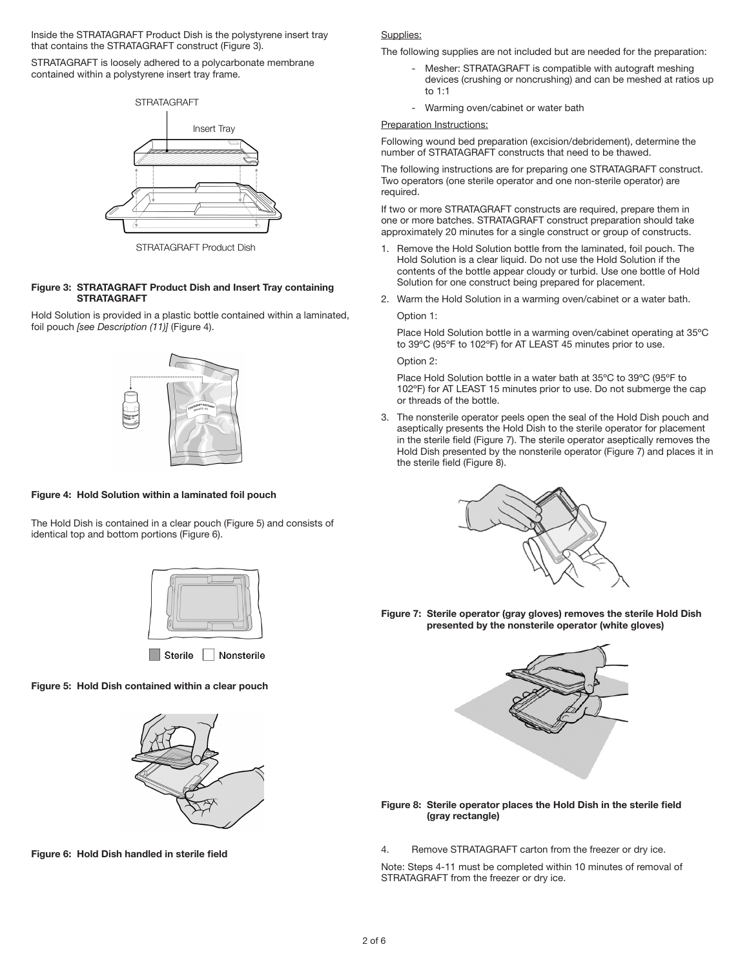Inside the STRATAGRAFT Product Dish is the polystyrene insert tray that contains the STRATAGRAFT construct (Figure 3).

STRATAGRAFT is loosely adhered to a polycarbonate membrane contained within a polystyrene insert tray frame.



STRATAGRAFT Product Dish

# Figure 3: STRATAGRAFT Product Dish and Insert Tray containing **STRATAGRAFT**

Hold Solution is provided in a plastic bottle contained within a laminated, foil pouch *[see Description (11)]* (Figure 4).



# Figure 4: Hold Solution within a laminated foil pouch

The Hold Dish is contained in a clear pouch (Figure 5) and consists of identical top and bottom portions (Figure 6).



Sterile Nonsterile

# Figure 5: Hold Dish contained within a clear pouch



Figure 6: Hold Dish handled in sterile field

#### Supplies:

The following supplies are not included but are needed for the preparation:

- Mesher: STRATAGRAFT is compatible with autograft meshing devices (crushing or noncrushing) and can be meshed at ratios up to 1:1
- Warming oven/cabinet or water bath

#### **Preparation Instructions:**

Following wound bed preparation (excision/debridement), determine the number of STRATAGRAFT constructs that need to be thawed.

The following instructions are for preparing one STRATAGRAFT construct. Two operators (one sterile operator and one non-sterile operator) are required.

If two or more STRATAGRAFT constructs are required, prepare them in one or more batches. STRATAGRAFT construct preparation should take approximately 20 minutes for a single construct or group of constructs.

- 1. Remove the Hold Solution bottle from the laminated, foil pouch. The Hold Solution is a clear liquid. Do not use the Hold Solution if the contents of the bottle appear cloudy or turbid. Use one bottle of Hold Solution for one construct being prepared for placement.
- 2. Warm the Hold Solution in a warming oven/cabinet or a water bath. Option 1:

 Place Hold Solution bottle in a warming oven/cabinet operating at 35ºC to 39ºC (95ºF to 102ºF) for AT LEAST 45 minutes prior to use.

Option 2:

 Place Hold Solution bottle in a water bath at 35ºC to 39ºC (95ºF to 102ºF) for AT LEAST 15 minutes prior to use. Do not submerge the cap or threads of the bottle.

3. The nonsterile operator peels open the seal of the Hold Dish pouch and aseptically presents the Hold Dish to the sterile operator for placement in the sterile field (Figure 7). The sterile operator aseptically removes the Hold Dish presented by the nonsterile operator (Figure 7) and places it in the sterile field (Figure 8).



Figure 7: Sterile operator (gray gloves) removes the sterile Hold Dish presented by the nonsterile operator (white gloves)



#### Figure 8: Sterile operator places the Hold Dish in the sterile field (gray rectangle)

4. Remove STRATAGRAFT carton from the freezer or dry ice.

Note: Steps 4-11 must be completed within 10 minutes of removal of STRATAGRAFT from the freezer or dry ice.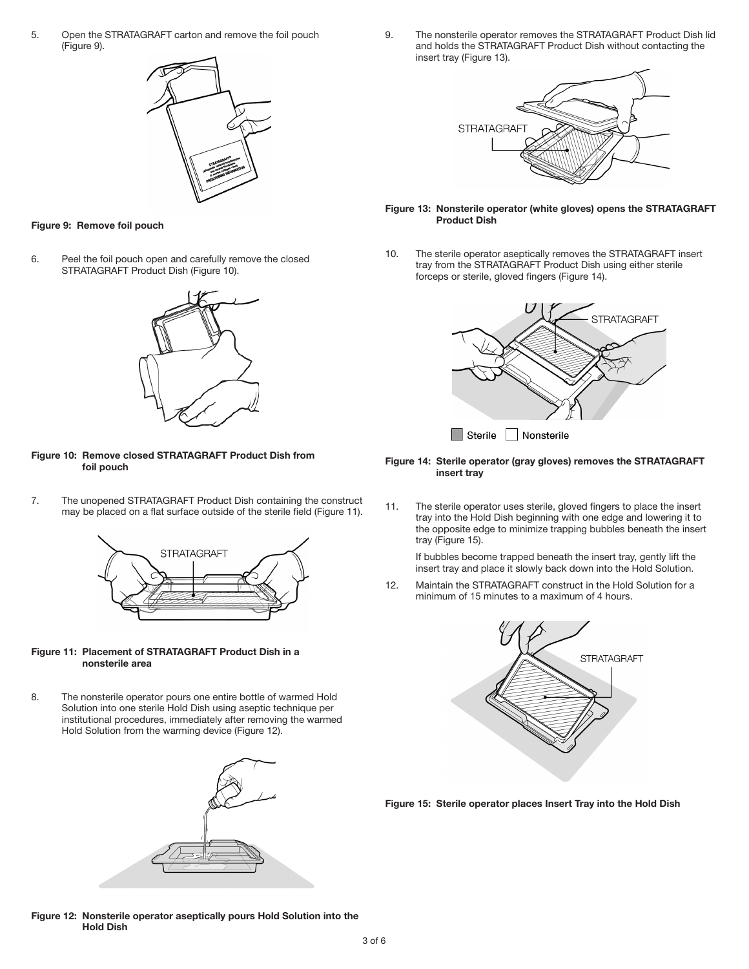5. Open the STRATAGRAFT carton and remove the foil pouch (Figure 9).



#### Figure 9: Remove foil pouch

6. Peel the foil pouch open and carefully remove the closed STRATAGRAFT Product Dish (Figure 10).



Figure 10: Remove closed STRATAGRAFT Product Dish from foil pouch

7. The unopened STRATAGRAFT Product Dish containing the construct may be placed on a flat surface outside of the sterile field (Figure 11).



#### Figure 11: Placement of STRATAGRAFT Product Dish in a nonsterile area

8. The nonsterile operator pours one entire bottle of warmed Hold Solution into one sterile Hold Dish using aseptic technique per institutional procedures, immediately after removing the warmed Hold Solution from the warming device (Figure 12).



9. The nonsterile operator removes the STRATAGRAFT Product Dish lid and holds the STRATAGRAFT Product Dish without contacting the insert tray (Figure 13).



#### Figure 13: Nonsterile operator (white gloves) opens the STRATAGRAFT Product Dish

10. The sterile operator aseptically removes the STRATAGRAFT insert tray from the STRATAGRAFT Product Dish using either sterile forceps or sterile, gloved fingers (Figure 14).



Figure 14: Sterile operator (gray gloves) removes the STRATAGRAFT insert tray

11. The sterile operator uses sterile, gloved fingers to place the insert tray into the Hold Dish beginning with one edge and lowering it to the opposite edge to minimize trapping bubbles beneath the insert tray (Figure 15).

 If bubbles become trapped beneath the insert tray, gently lift the insert tray and place it slowly back down into the Hold Solution.

12. Maintain the STRATAGRAFT construct in the Hold Solution for a minimum of 15 minutes to a maximum of 4 hours.



Figure 15: Sterile operator places Insert Tray into the Hold Dish

Figure 12: Nonsterile operator aseptically pours Hold Solution into the Hold Dish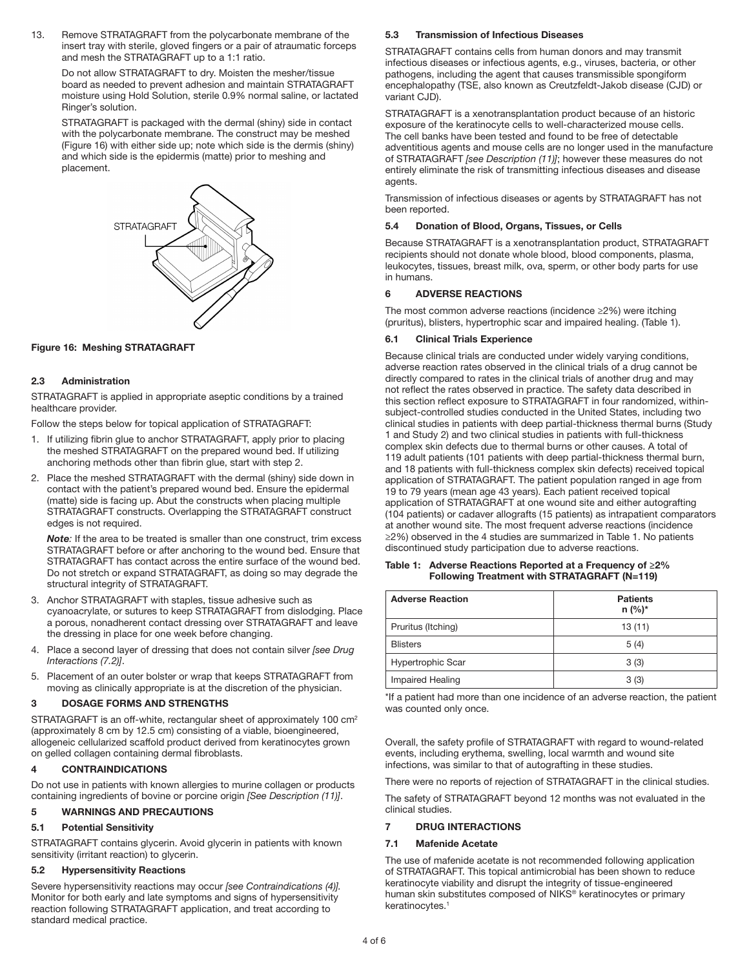13. Remove STRATAGRAFT from the polycarbonate membrane of the insert tray with sterile, gloved fingers or a pair of atraumatic forceps and mesh the STRATAGRAFT up to a 1:1 ratio.

 Do not allow STRATAGRAFT to dry. Moisten the mesher/tissue board as needed to prevent adhesion and maintain STRATAGRAFT moisture using Hold Solution, sterile 0.9% normal saline, or lactated Ringer's solution.

 STRATAGRAFT is packaged with the dermal (shiny) side in contact with the polycarbonate membrane. The construct may be meshed (Figure 16) with either side up; note which side is the dermis (shiny) and which side is the epidermis (matte) prior to meshing and placement.



# Figure 16: Meshing STRATAGRAFT

#### 2.3 Administration

STRATAGRAFT is applied in appropriate aseptic conditions by a trained healthcare provider.

Follow the steps below for topical application of STRATAGRAFT:

- 1. If utilizing fibrin glue to anchor STRATAGRAFT, apply prior to placing the meshed STRATAGRAFT on the prepared wound bed. If utilizing anchoring methods other than fibrin glue, start with step 2.
- 2. Place the meshed STRATAGRAFT with the dermal (shiny) side down in contact with the patient's prepared wound bed. Ensure the epidermal (matte) side is facing up. Abut the constructs when placing multiple STRATAGRAFT constructs. Overlapping the STRATAGRAFT construct edges is not required.

 *Note:* If the area to be treated is smaller than one construct, trim excess STRATAGRAFT before or after anchoring to the wound bed. Ensure that STRATAGRAFT has contact across the entire surface of the wound bed. Do not stretch or expand STRATAGRAFT, as doing so may degrade the structural integrity of STRATAGRAFT.

- 3. Anchor STRATAGRAFT with staples, tissue adhesive such as cyanoacrylate, or sutures to keep STRATAGRAFT from dislodging. Place a porous, nonadherent contact dressing over STRATAGRAFT and leave the dressing in place for one week before changing.
- 4. Place a second layer of dressing that does not contain silver *[see Drug Interactions (7.2)]*.
- 5. Placement of an outer bolster or wrap that keeps STRATAGRAFT from moving as clinically appropriate is at the discretion of the physician.

#### 3 DOSAGE FORMS AND STRENGTHS

STRATAGRAFT is an off-white, rectangular sheet of approximately 100 cm2 (approximately 8 cm by 12.5 cm) consisting of a viable, bioengineered, allogeneic cellularized scaffold product derived from keratinocytes grown on gelled collagen containing dermal fibroblasts.

#### **CONTRAINDICATIONS**

Do not use in patients with known allergies to murine collagen or products containing ingredients of bovine or porcine origin *[See Description (11)]*.

#### 5 WARNINGS AND PRECAUTIONS

# 5.1 Potential Sensitivity

STRATAGRAFT contains glycerin. Avoid glycerin in patients with known sensitivity (irritant reaction) to glycerin.

#### 5.2 Hypersensitivity Reactions

Severe hypersensitivity reactions may occur *[see Contraindications (4)].* Monitor for both early and late symptoms and signs of hypersensitivity reaction following STRATAGRAFT application, and treat according to standard medical practice.

#### 5.3 Transmission of Infectious Diseases

STRATAGRAFT contains cells from human donors and may transmit infectious diseases or infectious agents, e.g., viruses, bacteria, or other pathogens, including the agent that causes transmissible spongiform encephalopathy (TSE, also known as Creutzfeldt-Jakob disease (CJD) or variant CJD).

STRATAGRAFT is a xenotransplantation product because of an historic exposure of the keratinocyte cells to well-characterized mouse cells. The cell banks have been tested and found to be free of detectable adventitious agents and mouse cells are no longer used in the manufacture of STRATAGRAFT *[see Description (11)]*; however these measures do not entirely eliminate the risk of transmitting infectious diseases and disease agents.

Transmission of infectious diseases or agents by STRATAGRAFT has not been reported.

# 5.4 Donation of Blood, Organs, Tissues, or Cells

Because STRATAGRAFT is a xenotransplantation product, STRATAGRAFT recipients should not donate whole blood, blood components, plasma, leukocytes, tissues, breast milk, ova, sperm, or other body parts for use in humans.

#### 6 ADVERSE REACTIONS

The most common adverse reactions (incidence ≥2%) were itching (pruritus), blisters, hypertrophic scar and impaired healing. (Table 1).

#### 6.1 Clinical Trials Experience

Because clinical trials are conducted under widely varying conditions, adverse reaction rates observed in the clinical trials of a drug cannot be directly compared to rates in the clinical trials of another drug and may not reflect the rates observed in practice. The safety data described in this section reflect exposure to STRATAGRAFT in four randomized, withinsubject-controlled studies conducted in the United States, including two clinical studies in patients with deep partial-thickness thermal burns (Study 1 and Study 2) and two clinical studies in patients with full-thickness complex skin defects due to thermal burns or other causes. A total of 119 adult patients (101 patients with deep partial-thickness thermal burn, and 18 patients with full-thickness complex skin defects) received topical application of STRATAGRAFT. The patient population ranged in age from 19 to 79 years (mean age 43 years). Each patient received topical application of STRATAGRAFT at one wound site and either autografting (104 patients) or cadaver allografts (15 patients) as intrapatient comparators at another wound site. The most frequent adverse reactions (incidence ≥2%) observed in the 4 studies are summarized in Table 1. No patients discontinued study participation due to adverse reactions.

| Table 1: Adverse Reactions Reported at a Frequency of $\geq$ 2% |  |
|-----------------------------------------------------------------|--|
| Following Treatment with STRATAGRAFT (N=119)                    |  |

| <b>Adverse Reaction</b>  | <b>Patients</b><br>$n (%)^*$ |
|--------------------------|------------------------------|
| Pruritus (Itching)       | 13(11)                       |
| <b>Blisters</b>          | 5(4)                         |
| <b>Hypertrophic Scar</b> | 3(3)                         |
| Impaired Healing         | 3(3)                         |

\*If a patient had more than one incidence of an adverse reaction, the patient was counted only once.

Overall, the safety profile of STRATAGRAFT with regard to wound-related events, including erythema, swelling, local warmth and wound site infections, was similar to that of autografting in these studies.

There were no reports of rejection of STRATAGRAFT in the clinical studies.

The safety of STRATAGRAFT beyond 12 months was not evaluated in the clinical studies.

#### 7 DRUG INTERACTIONS

#### 7.1 Mafenide Acetate

The use of mafenide acetate is not recommended following application of STRATAGRAFT. This topical antimicrobial has been shown to reduce keratinocyte viability and disrupt the integrity of tissue-engineered human skin substitutes composed of NIKS® keratinocytes or primary keratinocytes.<sup>1</sup>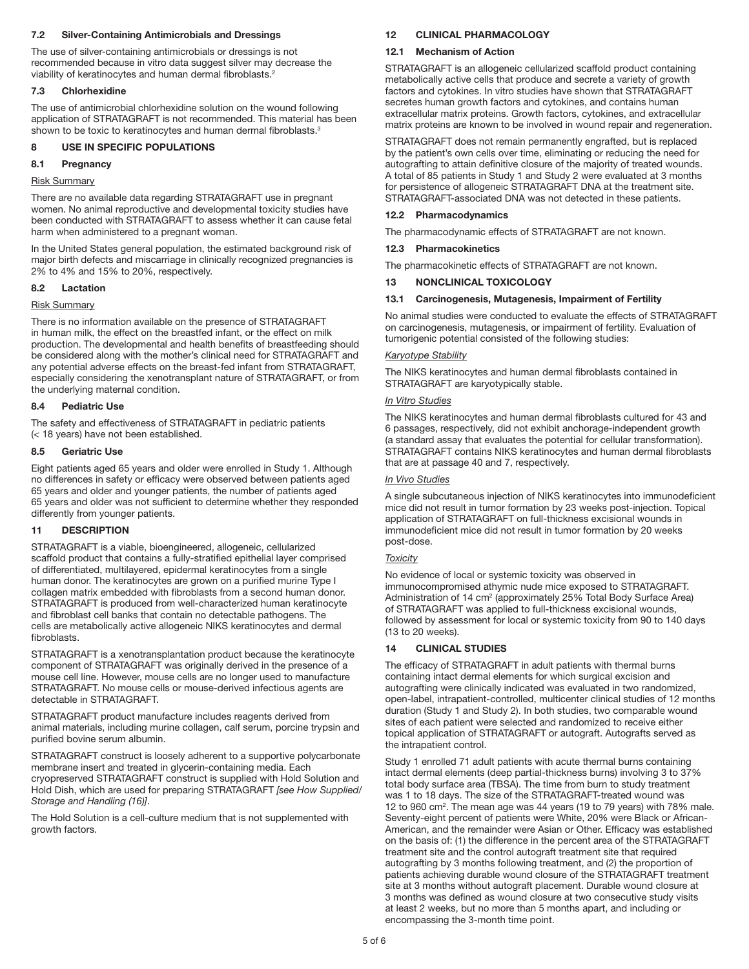# 7.2 Silver-Containing Antimicrobials and Dressings

The use of silver-containing antimicrobials or dressings is not recommended because in vitro data suggest silver may decrease the viability of keratinocytes and human dermal fibroblasts.<sup>2</sup>

# 7.3 Chlorhexidine

The use of antimicrobial chlorhexidine solution on the wound following application of STRATAGRAFT is not recommended. This material has been shown to be toxic to keratinocytes and human dermal fibroblasts.<sup>3</sup>

# 8 USE IN SPECIFIC POPULATIONS

# 8.1 Pregnancy

# Risk Summary

There are no available data regarding STRATAGRAFT use in pregnant women. No animal reproductive and developmental toxicity studies have been conducted with STRATAGRAFT to assess whether it can cause fetal harm when administered to a pregnant woman.

In the United States general population, the estimated background risk of major birth defects and miscarriage in clinically recognized pregnancies is 2% to 4% and 15% to 20%, respectively.

# 8.2 Lactation

# Risk Summary

There is no information available on the presence of STRATAGRAFT in human milk, the effect on the breastfed infant, or the effect on milk production. The developmental and health benefits of breastfeeding should be considered along with the mother's clinical need for STRATAGRAFT and any potential adverse effects on the breast-fed infant from STRATAGRAFT, especially considering the xenotransplant nature of STRATAGRAFT, or from the underlying maternal condition.

# 8.4 Pediatric Use

The safety and effectiveness of STRATAGRAFT in pediatric patients (< 18 years) have not been established.

# 8.5 Geriatric Use

Eight patients aged 65 years and older were enrolled in Study 1. Although no differences in safety or efficacy were observed between patients aged 65 years and older and younger patients, the number of patients aged 65 years and older was not sufficient to determine whether they responded differently from younger patients.

# 11 DESCRIPTION

STRATAGRAFT is a viable, bioengineered, allogeneic, cellularized scaffold product that contains a fully-stratified epithelial layer comprised of differentiated, multilayered, epidermal keratinocytes from a single human donor. The keratinocytes are grown on a purified murine Type I collagen matrix embedded with fibroblasts from a second human donor. STRATAGRAFT is produced from well-characterized human keratinocyte and fibroblast cell banks that contain no detectable pathogens. The cells are metabolically active allogeneic NIKS keratinocytes and dermal fibroblasts.

STRATAGRAFT is a xenotransplantation product because the keratinocyte component of STRATAGRAFT was originally derived in the presence of a mouse cell line. However, mouse cells are no longer used to manufacture STRATAGRAFT. No mouse cells or mouse-derived infectious agents are detectable in STRATAGRAFT.

STRATAGRAFT product manufacture includes reagents derived from animal materials, including murine collagen, calf serum, porcine trypsin and purified bovine serum albumin.

STRATAGRAFT construct is loosely adherent to a supportive polycarbonate membrane insert and treated in glycerin-containing media. Each cryopreserved STRATAGRAFT construct is supplied with Hold Solution and Hold Dish, which are used for preparing STRATAGRAFT *[see How Supplied/ Storage and Handling (16)]*.

The Hold Solution is a cell-culture medium that is not supplemented with growth factors.

# 12 CLINICAL PHARMACOLOGY

# 12.1 Mechanism of Action

STRATAGRAFT is an allogeneic cellularized scaffold product containing metabolically active cells that produce and secrete a variety of growth factors and cytokines. In vitro studies have shown that STRATAGRAFT secretes human growth factors and cytokines, and contains human extracellular matrix proteins. Growth factors, cytokines, and extracellular matrix proteins are known to be involved in wound repair and regeneration.

STRATAGRAFT does not remain permanently engrafted, but is replaced by the patient's own cells over time, eliminating or reducing the need for autografting to attain definitive closure of the majority of treated wounds. A total of 85 patients in Study 1 and Study 2 were evaluated at 3 months for persistence of allogeneic STRATAGRAFT DNA at the treatment site. STRATAGRAFT-associated DNA was not detected in these patients.

# 12.2 Pharmacodynamics

The pharmacodynamic effects of STRATAGRAFT are not known.

# 12.3 Pharmacokinetics

The pharmacokinetic effects of STRATAGRAFT are not known.

# 13 NONCLINICAL TOXICOLOGY

# 13.1 Carcinogenesis, Mutagenesis, Impairment of Fertility

No animal studies were conducted to evaluate the effects of STRATAGRAFT on carcinogenesis, mutagenesis, or impairment of fertility. Evaluation of tumorigenic potential consisted of the following studies:

# *Karyotype Stability*

The NIKS keratinocytes and human dermal fibroblasts contained in STRATAGRAFT are karyotypically stable.

# *In Vitro Studies*

The NIKS keratinocytes and human dermal fibroblasts cultured for 43 and 6 passages, respectively, did not exhibit anchorage-independent growth (a standard assay that evaluates the potential for cellular transformation). STRATAGRAFT contains NIKS keratinocytes and human dermal fibroblasts that are at passage 40 and 7, respectively.

# *In Vivo Studies*

A single subcutaneous injection of NIKS keratinocytes into immunodeficient mice did not result in tumor formation by 23 weeks post-injection. Topical application of STRATAGRAFT on full-thickness excisional wounds in immunodeficient mice did not result in tumor formation by 20 weeks post-dose.

# *Toxicity*

No evidence of local or systemic toxicity was observed in immunocompromised athymic nude mice exposed to STRATAGRAFT. Administration of 14 cm<sup>2</sup> (approximately 25% Total Body Surface Area) of STRATAGRAFT was applied to full-thickness excisional wounds, followed by assessment for local or systemic toxicity from 90 to 140 days (13 to 20 weeks).

# 14 CLINICAL STUDIES

The efficacy of STRATAGRAFT in adult patients with thermal burns containing intact dermal elements for which surgical excision and autografting were clinically indicated was evaluated in two randomized, open-label, intrapatient-controlled, multicenter clinical studies of 12 months duration (Study 1 and Study 2). In both studies, two comparable wound sites of each patient were selected and randomized to receive either topical application of STRATAGRAFT or autograft. Autografts served as the intrapatient control.

Study 1 enrolled 71 adult patients with acute thermal burns containing intact dermal elements (deep partial-thickness burns) involving 3 to 37% total body surface area (TBSA). The time from burn to study treatment was 1 to 18 days. The size of the STRATAGRAFT-treated wound was 12 to 960 cm<sup>2</sup>. The mean age was 44 years (19 to 79 years) with 78% male. Seventy-eight percent of patients were White, 20% were Black or African-American, and the remainder were Asian or Other. Efficacy was established on the basis of: (1) the difference in the percent area of the STRATAGRAFT treatment site and the control autograft treatment site that required autografting by 3 months following treatment, and (2) the proportion of patients achieving durable wound closure of the STRATAGRAFT treatment site at 3 months without autograft placement. Durable wound closure at 3 months was defined as wound closure at two consecutive study visits at least 2 weeks, but no more than 5 months apart, and including or encompassing the 3-month time point.